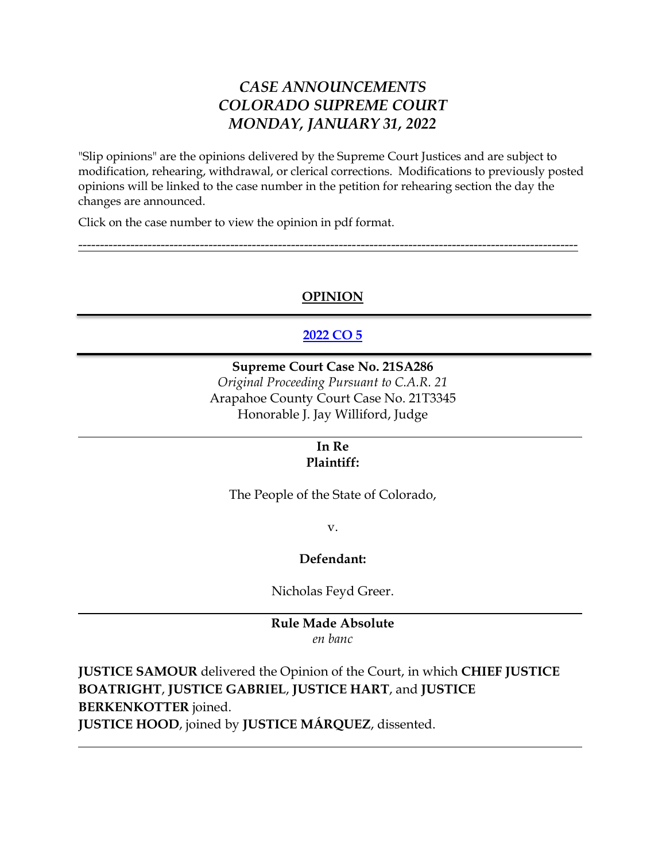# *CASE ANNOUNCEMENTS COLORADO SUPREME COURT MONDAY, JANUARY 31, 2022*

"Slip opinions" are the opinions delivered by the Supreme Court Justices and are subject to modification, rehearing, withdrawal, or clerical corrections. Modifications to previously posted opinions will be linked to the case number in the petition for rehearing section the day the changes are announced.

Click on the case number to view the opinion in pdf format.

# **OPINION**

-------------------------------------------------------------------------------------------------------------------

# **[2022 CO 5](https://www.courts.state.co.us/userfiles/file/Court_Probation/Supreme_Court/Opinions/2021/21SA286.pdf)**

## **Supreme Court Case No. 21SA286**

*Original Proceeding Pursuant to C.A.R. 21* Arapahoe County Court Case No. 21T3345 Honorable J. Jay Williford, Judge

### **In Re Plaintiff:**

The People of the State of Colorado,

v.

## **Defendant:**

Nicholas Feyd Greer.

## **Rule Made Absolute** *en banc*

**JUSTICE SAMOUR** delivered the Opinion of the Court, in which **CHIEF JUSTICE BOATRIGHT**, **JUSTICE GABRIEL**, **JUSTICE HART**, and **JUSTICE BERKENKOTTER** joined.

**JUSTICE HOOD**, joined by **JUSTICE MÁRQUEZ**, dissented.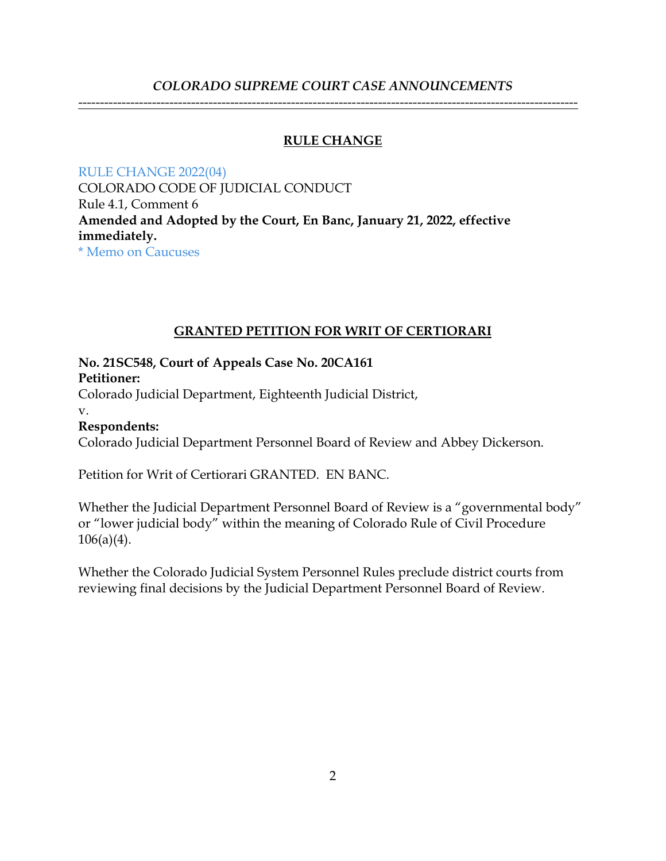## *COLORADO SUPREME COURT CASE ANNOUNCEMENTS*

-------------------------------------------------------------------------------------------------------------------

## **RULE CHANGE**

[RULE CHANGE 2022\(04\)](https://www.courts.state.co.us/userfiles/file/Court_Probation/Supreme_Court/Rule_Changes/2022/Rule%20Change%202022(04).pdf) COLORADO CODE OF JUDICIAL CONDUCT Rule 4.1, Comment 6 **Amended and Adopted by the Court, En Banc, January 21, 2022, effective immediately.** 

[\\* Memo on Caucuses](https://www.courts.state.co.us/userfiles/file/Court_Probation/Supreme_Court/Rule_Changes/2022/Memo%20on%20Caucuses%20(final%20version)%20.docx)

## **GRANTED PETITION FOR WRIT OF CERTIORARI**

## **No. 21SC548, Court of Appeals Case No. 20CA161 Petitioner:**

Colorado Judicial Department, Eighteenth Judicial District,

v.

# **Respondents:**

Colorado Judicial Department Personnel Board of Review and Abbey Dickerson.

Petition for Writ of Certiorari GRANTED. EN BANC.

Whether the Judicial Department Personnel Board of Review is a "governmental body" or "lower judicial body" within the meaning of Colorado Rule of Civil Procedure  $106(a)(4)$ .

Whether the Colorado Judicial System Personnel Rules preclude district courts from reviewing final decisions by the Judicial Department Personnel Board of Review.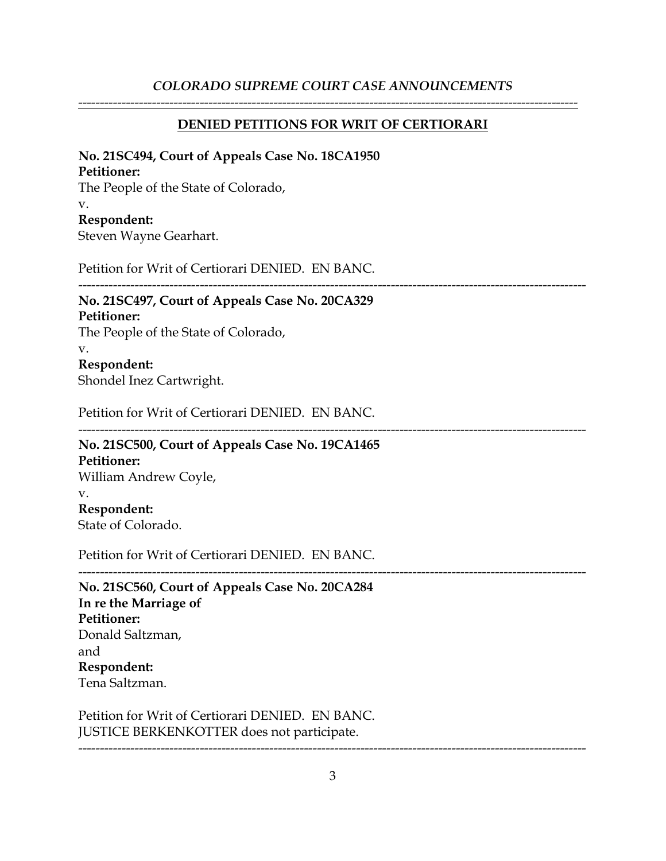## *COLORADO SUPREME COURT CASE ANNOUNCEMENTS*

#### **DENIED PETITIONS FOR WRIT OF CERTIORARI**

-------------------------------------------------------------------------------------------------------------------

#### **No. 21SC494, Court of Appeals Case No. 18CA1950**

#### **Petitioner:**

The People of the State of Colorado, v. **Respondent:** Steven Wayne Gearhart.

Petition for Writ of Certiorari DENIED. EN BANC.

---------------------------------------------------------------------------------------------------------------------

#### **No. 21SC497, Court of Appeals Case No. 20CA329 Petitioner:**

The People of the State of Colorado, v. **Respondent:**

Shondel Inez Cartwright.

Petition for Writ of Certiorari DENIED. EN BANC.

## --------------------------------------------------------------------------------------------------------------------- **No. 21SC500, Court of Appeals Case No. 19CA1465 Petitioner:** William Andrew Coyle, v. **Respondent:**

State of Colorado.

Petition for Writ of Certiorari DENIED. EN BANC.

--------------------------------------------------------------------------------------------------------------------- **No. 21SC560, Court of Appeals Case No. 20CA284 In re the Marriage of Petitioner:** Donald Saltzman, and **Respondent:** Tena Saltzman.

Petition for Writ of Certiorari DENIED. EN BANC. JUSTICE BERKENKOTTER does not participate.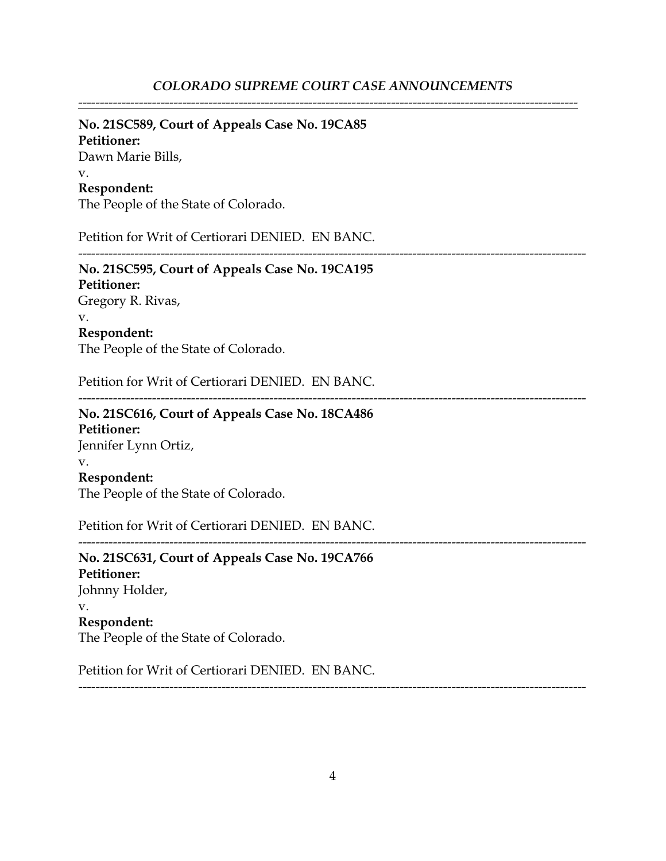-------------------------------------------------------------------------------------------------------------------

## **No. 21SC589, Court of Appeals Case No. 19CA85**

**Petitioner:** Dawn Marie Bills, v. **Respondent:**

The People of the State of Colorado.

Petition for Writ of Certiorari DENIED. EN BANC.

--------------------------------------------------------------------------------------------------------------------- **No. 21SC595, Court of Appeals Case No. 19CA195 Petitioner:** Gregory R. Rivas, v. **Respondent:**

The People of the State of Colorado.

Petition for Writ of Certiorari DENIED. EN BANC.

---------------------------------------------------------------------------------------------------------------------

**No. 21SC616, Court of Appeals Case No. 18CA486 Petitioner:** Jennifer Lynn Ortiz, v. **Respondent:** The People of the State of Colorado.

Petition for Writ of Certiorari DENIED. EN BANC.

---------------------------------------------------------------------------------------------------------------------

**No. 21SC631, Court of Appeals Case No. 19CA766 Petitioner:** Johnny Holder, v. **Respondent:** The People of the State of Colorado.

Petition for Writ of Certiorari DENIED. EN BANC.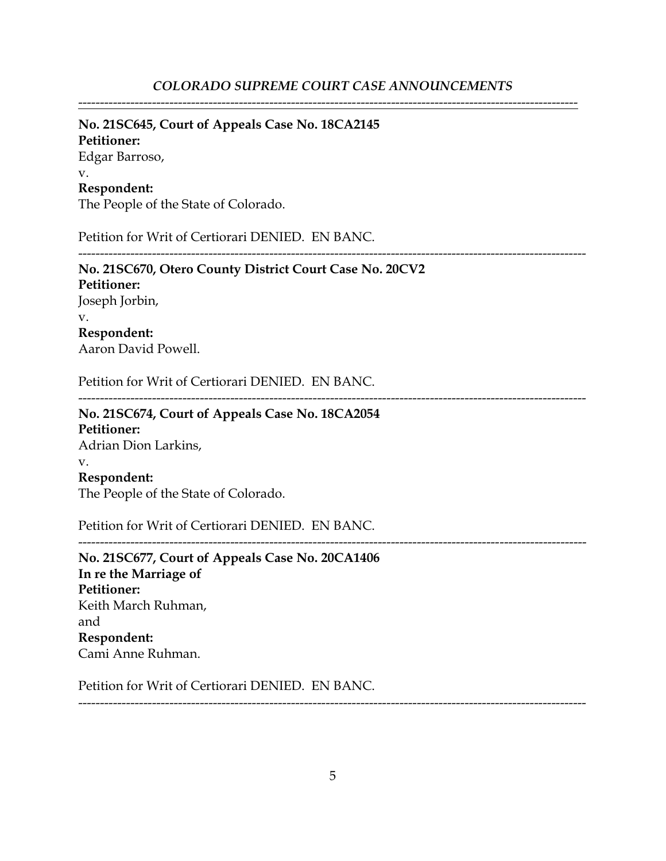-------------------------------------------------------------------------------------------------------------------

# **No. 21SC645, Court of Appeals Case No. 18CA2145**

**Petitioner:** Edgar Barroso, v. **Respondent:**

The People of the State of Colorado.

Petition for Writ of Certiorari DENIED. EN BANC.

# **No. 21SC670, Otero County District Court Case No. 20CV2 Petitioner:** Joseph Jorbin, v. **Respondent:** Aaron David Powell.

Petition for Writ of Certiorari DENIED. EN BANC.

---------------------------------------------------------------------------------------------------------------------

---------------------------------------------------------------------------------------------------------------------

---------------------------------------------------------------------------------------------------------------------

# **No. 21SC674, Court of Appeals Case No. 18CA2054 Petitioner:** Adrian Dion Larkins, v. **Respondent:** The People of the State of Colorado.

Petition for Writ of Certiorari DENIED. EN BANC.

**No. 21SC677, Court of Appeals Case No. 20CA1406 In re the Marriage of Petitioner:** Keith March Ruhman, and **Respondent:** Cami Anne Ruhman.

Petition for Writ of Certiorari DENIED. EN BANC.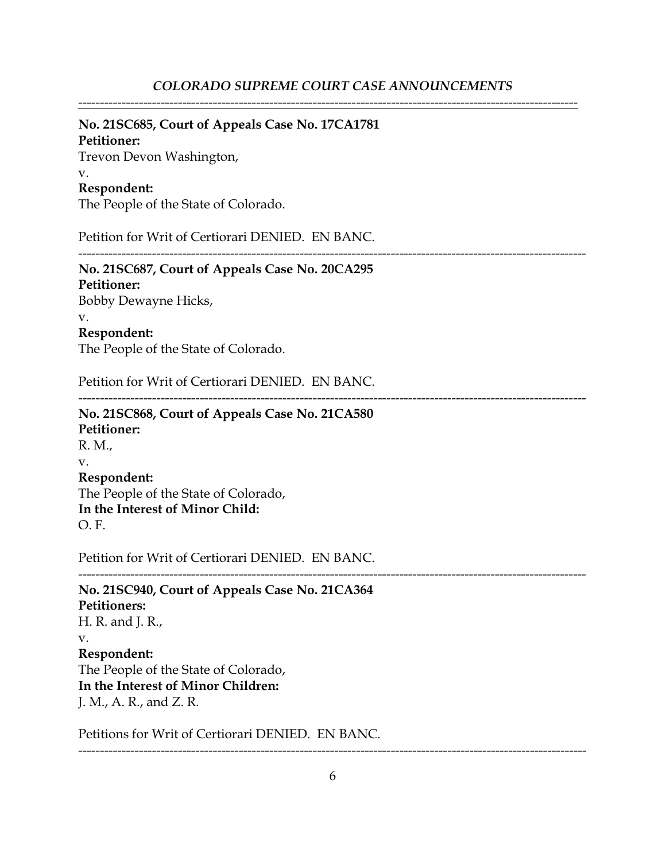-------------------------------------------------------------------------------------------------------------------

#### **No. 21SC685, Court of Appeals Case No. 17CA1781**

#### **Petitioner:**

Trevon Devon Washington,

#### v.

#### **Respondent:**

The People of the State of Colorado.

Petition for Writ of Certiorari DENIED. EN BANC.

---------------------------------------------------------------------------------------------------------------------

# **No. 21SC687, Court of Appeals Case No. 20CA295**

**Petitioner:** Bobby Dewayne Hicks, v. **Respondent:**

The People of the State of Colorado.

Petition for Writ of Certiorari DENIED. EN BANC.

---------------------------------------------------------------------------------------------------------------------

## **No. 21SC868, Court of Appeals Case No. 21CA580 Petitioner:** R. M., v. **Respondent:**

The People of the State of Colorado, **In the Interest of Minor Child:** O. F.

Petition for Writ of Certiorari DENIED. EN BANC.

--------------------------------------------------------------------------------------------------------------------- **No. 21SC940, Court of Appeals Case No. 21CA364 Petitioners:** H. R. and J. R., v. **Respondent:** The People of the State of Colorado, **In the Interest of Minor Children:** J. M., A. R., and Z. R.

Petitions for Writ of Certiorari DENIED. EN BANC.